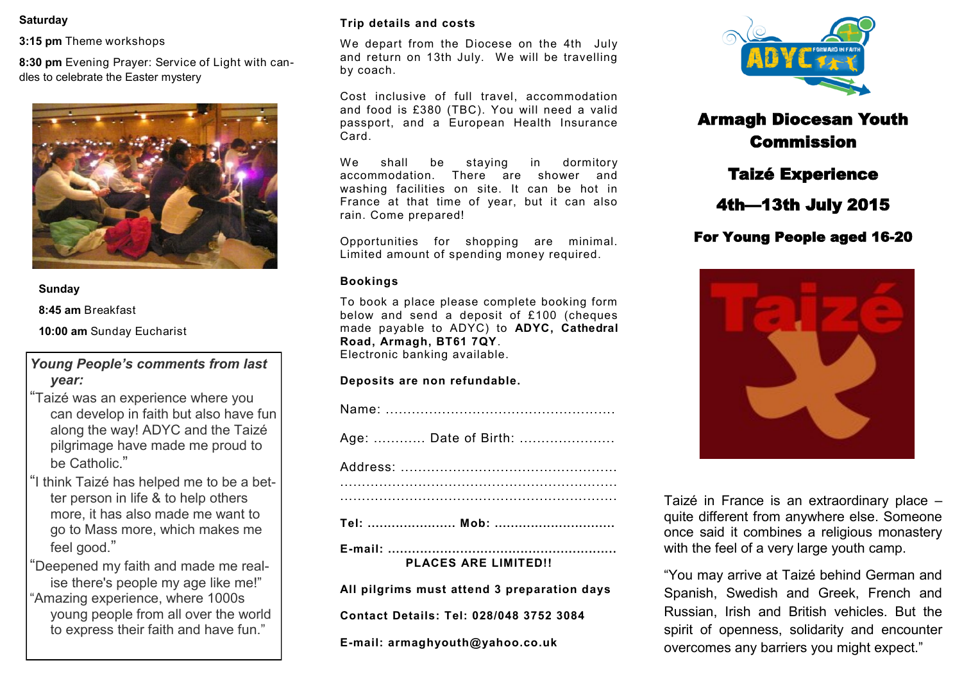### **Saturday**

### **3:15 pm** Theme workshops

**8:30 pm** Evening Prayer: Service of Light with candles to celebrate the Easter mystery



**Sunday**

**8:45 am** Breakfast

**10:00 am** Sunday Eucharist

## *Young People's comments from last year:*

- "Taizé was an experience where you can develop in faith but also have fun along the way! ADYC and the Taizé pilgrimage have made me proud to be Catholic."
- "I think Taizé has helped me to be a better person in life & to help others more, it has also made me want to go to Mass more, which makes me feel good."
- "Deepened my faith and made me realise there's people my age like me!" "Amazing experience, where 1000s young people from all over the world to express their faith and have fun."

### **Trip details and costs**

We depart from the Diocese on the 4th July and return on 13th July. We will be travelling by coach.

Cost inclusive of full travel, accommodation and food is £380 (TBC). You will need a valid passport, and a European Health Insurance Card<sup>.</sup>

We shall be staying in dormitory accommodation. There are shower and washing facilities on site. It can be hot in France at that time of year, but it can also rain. Come prepared!

Opportunities for shopping are minimal. Limited amount of spending money required.

## **Bookings**

To book a place please complete booking form below and send a deposit of £100 (cheques made payable to ADYC) to **ADYC, Cathedral Road, Armagh, BT61 7QY**. Electronic banking available.

## **Deposits are non refundable.**

| Age:  Date of Birth:        |
|-----------------------------|
|                             |
|                             |
| Tel:  Mob:                  |
| <b>PLACES ARE LIMITED!!</b> |

**All pilgrims must attend 3 preparation days** 

**Contact Details: Tel: 028/048 3752 3084** 

**E-mail: armaghyouth@yahoo.co.uk** 



# Armagh Diocesan Youth Commission

Taizé Experience

4th—13th July 2015

## For Young People aged 16-20



Taizé in France is an extraordinary place – quite different from anywhere else. Someone once said it combines a religious monastery with the feel of a very large youth camp.

"You may arrive at Taizé behind German and Spanish, Swedish and Greek, French and Russian, Irish and British vehicles. But the spirit of openness, solidarity and encounter overcomes any barriers you might expect."